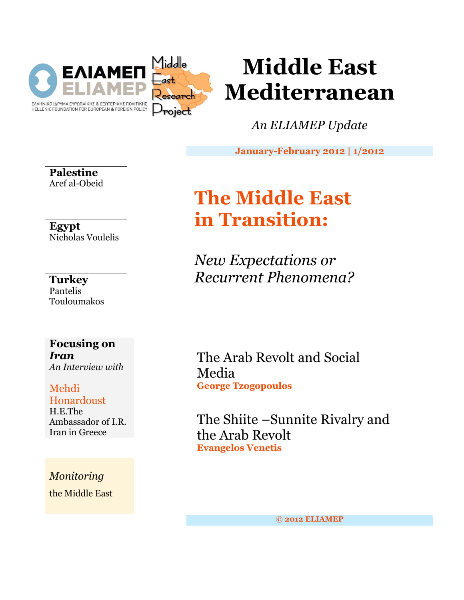

# **Middle East Mediterranean**

*An ELIAMEP Update*

**January-February 2012 | 1/2012**

**Palestine** Aref al-Obeid

**Egypt** Nicholas Voulelis

# **Turkey**

Pantelis Touloumakos

### **Focusing on**  *Iran An Interview with*

## Mehdi Honardoust

H.E.The Ambassador of I.R. Iran in Greece

*Monitoring* the Middle East

# **The Middle East in Transition:**

*New Expectations or Recurrent Phenomena?*

The Arab Revolt and Social Media **George Tzogopoulos**

The Shiite –Sunnite Rivalry and the Arab Revolt **Evangelos Venetis**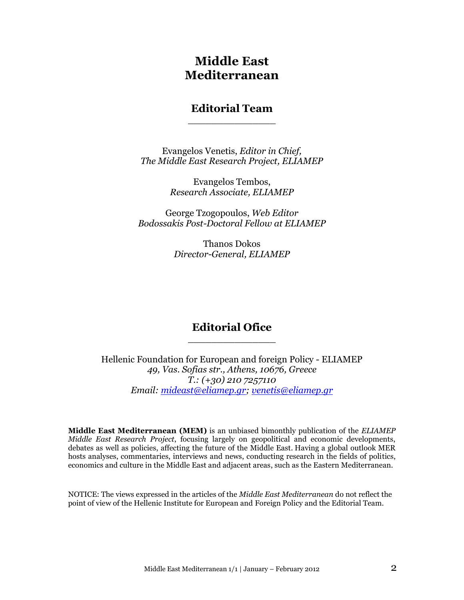# **Middle East Mediterranean**

### **Editorial Team** \_\_\_\_\_\_\_\_\_\_\_\_\_\_\_

Evangelos Venetis, *Editor in Chief, The Middle East Research Project, ELIAMEP*

> Evangelos Tembos, *Research Associate, ELIAMEP*

George Tzogopoulos, *Web Editor Bodossakis Post-Doctoral Fellow at ELIAMEP*

> Thanos Dokos *Director-General, ELIAMEP*

### **Editorial Ofice** \_\_\_\_\_\_\_\_\_\_\_\_\_\_\_

Hellenic Foundation for European and foreign Policy - ELIAMEP *49, Vas. Sofias str., Athens, 10676, Greece T.: (+30) 210 7257110 Email: [mideast@eliamep.gr;](mailto:mideast@eliamep.gr) [venetis@eliamep.gr](mailto:venetis@eliamep.gr)*

**Middle East Mediterranean (MEM)** is an unbiased bimonthly publication of the *ELIAMEP Middle East Research Project*, focusing largely on geopolitical and economic developments, debates as well as policies, affecting the future of the Middle East. Having a global outlook MER hosts analyses, commentaries, interviews and news, conducting research in the fields of politics, economics and culture in the Middle East and adjacent areas, such as the Eastern Mediterranean.

NOTICE: The views expressed in the articles of the *Middle East Mediterranean* do not reflect the point of view of the Hellenic Institute for European and Foreign Policy and the Editorial Team.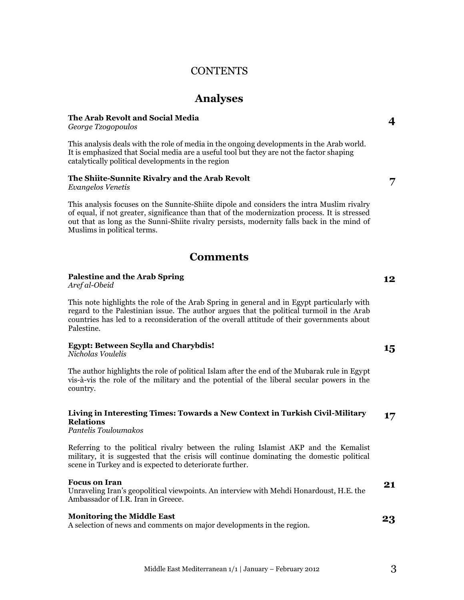### **CONTENTS**

### **Analyses**

#### **The Arab Revolt and Social Media**

*George Tzogopoulos*

This analysis deals with the role of media in the ongoing developments in the Arab world. It is emphasized that Social media are a useful tool but they are not the factor shaping catalytically political developments in the region

#### **The Shiite-Sunnite Rivalry and the Arab Revolt**

*Evangelos Venetis*

This analysis focuses on the Sunnite-Shiite dipole and considers the intra Muslim rivalry of equal, if not greater, significance than that of the modernization process. It is stressed out that as long as the Sunni-Shiite rivalry persists, modernity falls back in the mind of Muslims in political terms.

### **Comments**

#### **Palestine and the Arab Spring**

*Aref al-Obeid*

This note highlights the role of the Arab Spring in general and in Egypt particularly with regard to the Palestinian issue. The author argues that the political turmoil in the Arab countries has led to a reconsideration of the overall attitude of their governments about Palestine.

#### **Egypt: Between Scylla and Charybdis!**

*Nicholas Voulelis*

The author highlights the role of political Islam after the end of the Mubarak rule in Egypt vis-à-vis the role of the military and the potential of the liberal secular powers in the country.

#### **Living in Interesting Times: Towards a New Context in Turkish Civil-Military Relations 17**

*Pantelis Touloumakos*

Referring to the political rivalry between the ruling Islamist AKP and the Kemalist military, it is suggested that the crisis will continue dominating the domestic political scene in Turkey and is expected to deteriorate further.

#### **Focus on Iran**

Unraveling Iran"s geopolitical viewpoints. An interview with Mehdi Honardoust, H.E. the Ambassador of I.R. Iran in Greece.

#### **Monitoring the Middle East** A selection of news and comments on major developments in the region. **23**

Middle East Mediterranean  $1/1$  | January – February 2012 3

**4**

**7**

**12**

**15**

**21**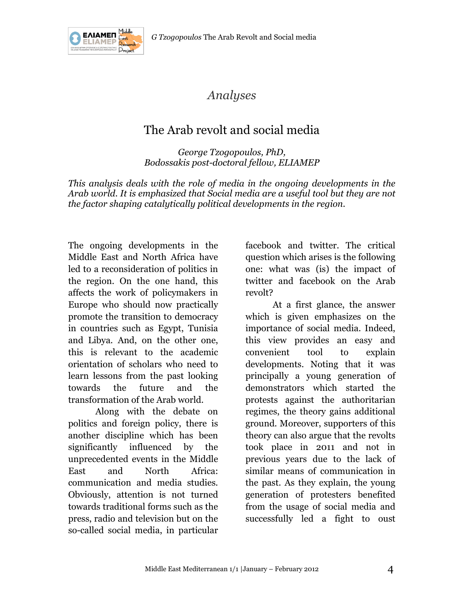

# *Analyses*

# The Arab revolt and social media

*George Tzogopoulos, PhD, Bodossakis post-doctoral fellow, ELIAMEP*

*This analysis deals with the role of media in the ongoing developments in the Arab world. It is emphasized that Social media are a useful tool but they are not the factor shaping catalytically political developments in the region.*

The ongoing developments in the Middle East and North Africa have led to a reconsideration of politics in the region. On the one hand, this affects the work of policymakers in Europe who should now practically promote the transition to democracy in countries such as Egypt, Tunisia and Libya. And, on the other one, this is relevant to the academic orientation of scholars who need to learn lessons from the past looking towards the future and the transformation of the Arab world.

Along with the debate on politics and foreign policy, there is another discipline which has been significantly influenced by the unprecedented events in the Middle East and North Africa: communication and media studies. Obviously, attention is not turned towards traditional forms such as the press, radio and television but on the so-called social media, in particular facebook and twitter. The critical question which arises is the following one: what was (is) the impact of twitter and facebook on the Arab revolt?

At a first glance, the answer which is given emphasizes on the importance of social media. Indeed, this view provides an easy and convenient tool to explain developments. Noting that it was principally a young generation of demonstrators which started the protests against the authoritarian regimes, the theory gains additional ground. Moreover, supporters of this theory can also argue that the revolts took place in 2011 and not in previous years due to the lack of similar means of communication in the past. As they explain, the young generation of protesters benefited from the usage of social media and successfully led a fight to oust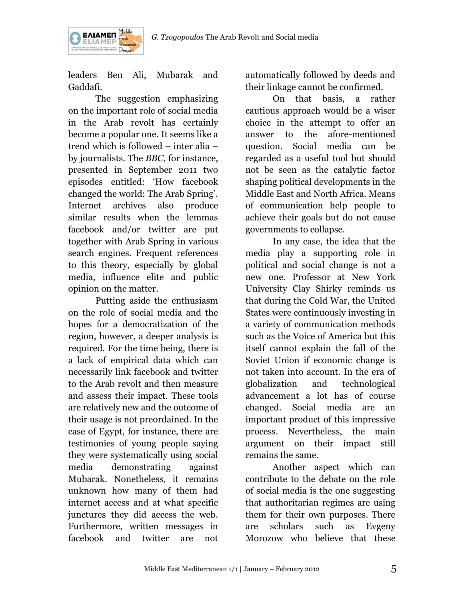

leaders Ben Ali, Mubarak and Gaddafi.

ΕΛΙΑΜΕΠ

The suggestion emphasizing on the important role of social media in the Arab revolt has certainly become a popular one. It seems like a trend which is followed – inter alia – by journalists. The *BBC*, for instance, presented in September 2011 two episodes entitled: "How facebook changed the world: The Arab Spring'. Internet archives also produce similar results when the lemmas facebook and/or twitter are put together with Arab Spring in various search engines. Frequent references to this theory, especially by global media, influence elite and public opinion on the matter.

Putting aside the enthusiasm on the role of social media and the hopes for a democratization of the region, however, a deeper analysis is required. For the time being, there is a lack of empirical data which can necessarily link facebook and twitter to the Arab revolt and then measure and assess their impact. These tools are relatively new and the outcome of their usage is not preordained. In the case of Egypt, for instance, there are testimonies of young people saying they were systematically using social media demonstrating against Mubarak. Nonetheless, it remains unknown how many of them had internet access and at what specific junctures they did access the web. Furthermore, written messages in facebook and twitter are not

automatically followed by deeds and their linkage cannot be confirmed.

On that basis, a rather cautious approach would be a wiser choice in the attempt to offer an answer to the afore-mentioned question. Social media can be regarded as a useful tool but should not be seen as the catalytic factor shaping political developments in the Middle East and North Africa. Means of communication help people to achieve their goals but do not cause governments to collapse.

In any case, the idea that the media play a supporting role in political and social change is not a new one. Professor at New York University Clay Shirky reminds us that during the Cold War, the United States were continuously investing in a variety of communication methods such as the Voice of America but this itself cannot explain the fall of the Soviet Union if economic change is not taken into account. In the era of globalization and technological advancement a lot has of course changed. Social media are an important product of this impressive process. Nevertheless, the main argument on their impact still remains the same.

Another aspect which can contribute to the debate on the role of social media is the one suggesting that authoritarian regimes are using them for their own purposes. There are scholars such as Evgeny Morozow who believe that these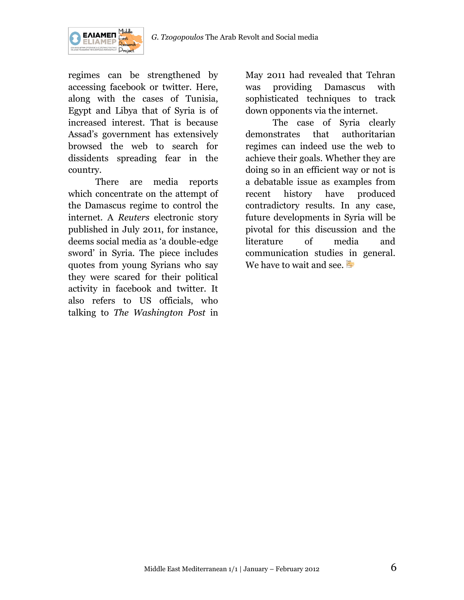

regimes can be strengthened by accessing facebook or twitter. Here, along with the cases of Tunisia, Egypt and Libya that of Syria is of increased interest. That is because Assad"s government has extensively browsed the web to search for dissidents spreading fear in the country.

There are media reports which concentrate on the attempt of the Damascus regime to control the internet. A *Reuters* electronic story published in July 2011, for instance, deems social media as "a double-edge sword" in Syria. The piece includes quotes from young Syrians who say they were scared for their political activity in facebook and twitter. It also refers to US officials, who talking to *The Washington Post* in

May 2011 had revealed that Tehran was providing Damascus with sophisticated techniques to track down opponents via the internet.

The case of Syria clearly demonstrates that authoritarian regimes can indeed use the web to achieve their goals. Whether they are doing so in an efficient way or not is a debatable issue as examples from recent history have produced contradictory results. In any case, future developments in Syria will be pivotal for this discussion and the literature of media and communication studies in general. We have to wait and see.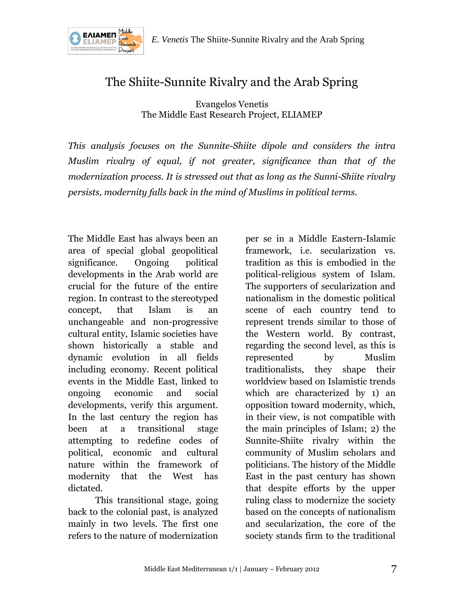

# The Shiite-Sunnite Rivalry and the Arab Spring

Evangelos Venetis The Middle East Research Project, ELIAMEP

*This analysis focuses on the Sunnite-Shiite dipole and considers the intra Muslim rivalry of equal, if not greater, significance than that of the modernization process. It is stressed out that as long as the Sunni-Shiite rivalry persists, modernity falls back in the mind of Muslims in political terms.*

The Middle East has always been an area of special global geopolitical significance. Ongoing political developments in the Arab world are crucial for the future of the entire region. In contrast to the stereotyped concept, that Islam is an unchangeable and non-progressive cultural entity, Islamic societies have shown historically a stable and dynamic evolution in all fields including economy. Recent political events in the Middle East, linked to ongoing economic and social developments, verify this argument. In the last century the region has been at a transitional stage attempting to redefine codes of political, economic and cultural nature within the framework of modernity that the West has dictated.

This transitional stage, going back to the colonial past, is analyzed mainly in two levels. The first one refers to the nature of modernization

per se in a Middle Eastern-Islamic framework, i.e. secularization vs. tradition as this is embodied in the political-religious system of Islam. The supporters of secularization and nationalism in the domestic political scene of each country tend to represent trends similar to those of the Western world. By contrast, regarding the second level, as this is represented by Muslim traditionalists, they shape their worldview based on Islamistic trends which are characterized by 1) an opposition toward modernity, which, in their view, is not compatible with the main principles of Islam; 2) the Sunnite-Shiite rivalry within the community of Muslim scholars and politicians. The history of the Middle East in the past century has shown that despite efforts by the upper ruling class to modernize the society based on the concepts of nationalism and secularization, the core of the society stands firm to the traditional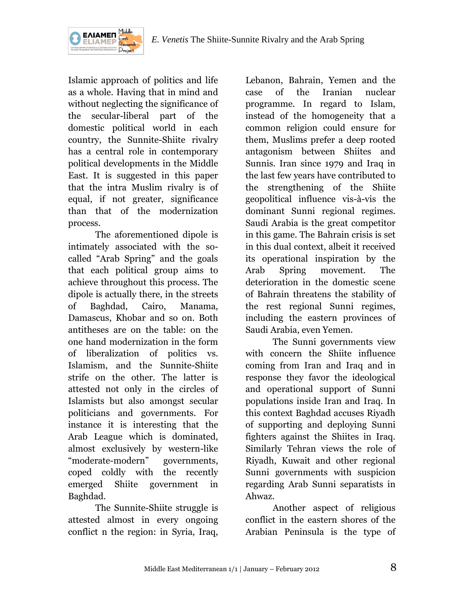

Islamic approach of politics and life as a whole. Having that in mind and without neglecting the significance of the secular-liberal part of the domestic political world in each country, the Sunnite-Shiite rivalry has a central role in contemporary political developments in the Middle East. It is suggested in this paper that the intra Muslim rivalry is of equal, if not greater, significance than that of the modernization

ΕΛΙΑΜΕΠ

process. The aforementioned dipole is intimately associated with the socalled "Arab Spring" and the goals that each political group aims to achieve throughout this process. The dipole is actually there, in the streets of Baghdad, Cairo, Manama, Damascus, Khobar and so on. Both antitheses are on the table: on the one hand modernization in the form of liberalization of politics vs. Islamism, and the Sunnite-Shiite strife on the other. The latter is attested not only in the circles of Islamists but also amongst secular politicians and governments. For instance it is interesting that the Arab League which is dominated, almost exclusively by western-like "moderate-modern" governments, coped coldly with the recently emerged Shiite government in Baghdad.

The Sunnite-Shiite struggle is attested almost in every ongoing conflict n the region: in Syria, Iraq,

Lebanon, Bahrain, Yemen and the case of the Iranian nuclear programme. In regard to Islam, instead of the homogeneity that a common religion could ensure for them, Muslims prefer a deep rooted antagonism between Shiites and Sunnis. Iran since 1979 and Iraq in the last few years have contributed to the strengthening of the Shiite geopolitical influence vis-à-vis the dominant Sunni regional regimes. Saudi Arabia is the great competitor in this game. The Bahrain crisis is set in this dual context, albeit it received its operational inspiration by the Arab Spring movement. The deterioration in the domestic scene of Bahrain threatens the stability of the rest regional Sunni regimes, including the eastern provinces of Saudi Arabia, even Yemen.

The Sunni governments view with concern the Shiite influence coming from Iran and Iraq and in response they favor the ideological and operational support of Sunni populations inside Iran and Iraq. In this context Baghdad accuses Riyadh of supporting and deploying Sunni fighters against the Shiites in Iraq. Similarly Tehran views the role of Riyadh, Kuwait and other regional Sunni governments with suspicion regarding Arab Sunni separatists in Ahwaz.

Another aspect of religious conflict in the eastern shores of the Arabian Peninsula is the type of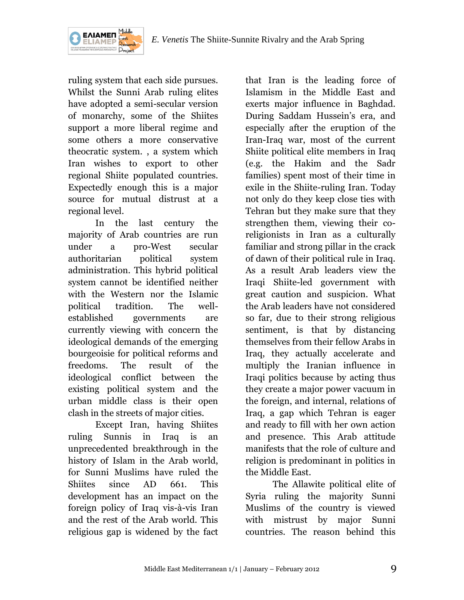

ruling system that each side pursues. Whilst the Sunni Arab ruling elites have adopted a semi-secular version of monarchy, some of the Shiites support a more liberal regime and some others a more conservative theocratic system. , a system which Iran wishes to export to other regional Shiite populated countries. Expectedly enough this is a major source for mutual distrust at a regional level.

In the last century the majority of Arab countries are run under a pro-West secular authoritarian political system administration. This hybrid political system cannot be identified neither with the Western nor the Islamic political tradition. The wellestablished governments are currently viewing with concern the ideological demands of the emerging bourgeoisie for political reforms and freedoms. The result of the ideological conflict between the existing political system and the urban middle class is their open clash in the streets of major cities.

Except Iran, having Shiites ruling Sunnis in Iraq is an unprecedented breakthrough in the history of Islam in the Arab world, for Sunni Muslims have ruled the Shiites since AD 661. This development has an impact on the foreign policy of Iraq vis-à-vis Iran and the rest of the Arab world. This religious gap is widened by the fact

that Iran is the leading force of Islamism in the Middle East and exerts major influence in Baghdad. During Saddam Hussein"s era, and especially after the eruption of the Iran-Iraq war, most of the current Shiite political elite members in Iraq (e.g. the Hakim and the Sadr families) spent most of their time in exile in the Shiite-ruling Iran. Today not only do they keep close ties with Tehran but they make sure that they strengthen them, viewing their coreligionists in Iran as a culturally familiar and strong pillar in the crack of dawn of their political rule in Iraq. As a result Arab leaders view the Iraqi Shiite-led government with great caution and suspicion. What the Arab leaders have not considered so far, due to their strong religious sentiment, is that by distancing themselves from their fellow Arabs in Iraq, they actually accelerate and multiply the Iranian influence in Iraqi politics because by acting thus they create a major power vacuum in the foreign, and internal, relations of Iraq, a gap which Tehran is eager and ready to fill with her own action and presence. This Arab attitude manifests that the role of culture and religion is predominant in politics in the Middle East.

The Allawite political elite of Syria ruling the majority Sunni Muslims of the country is viewed with mistrust by major Sunni countries. The reason behind this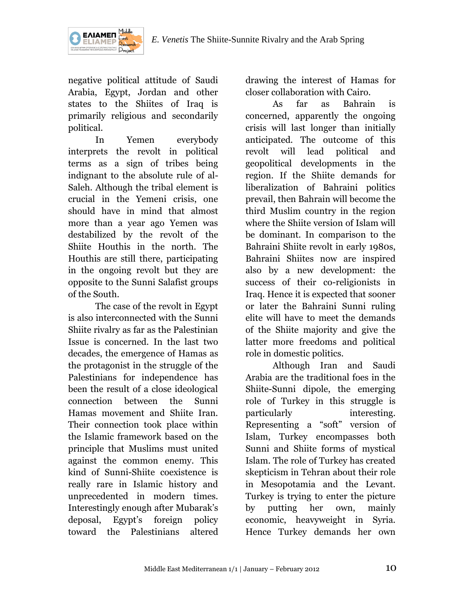

negative political attitude of Saudi Arabia, Egypt, Jordan and other states to the Shiites of Iraq is primarily religious and secondarily political.

In Yemen everybody interprets the revolt in political terms as a sign of tribes being indignant to the absolute rule of al-Saleh. Although the tribal element is crucial in the Yemeni crisis, one should have in mind that almost more than a year ago Yemen was destabilized by the revolt of the Shiite Houthis in the north. The Houthis are still there, participating in the ongoing revolt but they are opposite to the Sunni Salafist groups of the South.

The case of the revolt in Egypt is also interconnected with the Sunni Shiite rivalry as far as the Palestinian Issue is concerned. In the last two decades, the emergence of Hamas as the protagonist in the struggle of the Palestinians for independence has been the result of a close ideological connection between the Sunni Hamas movement and Shiite Iran. Their connection took place within the Islamic framework based on the principle that Muslims must united against the common enemy. This kind of Sunni-Shiite coexistence is really rare in Islamic history and unprecedented in modern times. Interestingly enough after Mubarak's deposal, Egypt's foreign policy toward the Palestinians altered drawing the interest of Hamas for closer collaboration with Cairo.

As far as Bahrain is concerned, apparently the ongoing crisis will last longer than initially anticipated. The outcome of this revolt will lead political and geopolitical developments in the region. If the Shiite demands for liberalization of Bahraini politics prevail, then Bahrain will become the third Muslim country in the region where the Shiite version of Islam will be dominant. In comparison to the Bahraini Shiite revolt in early 1980s, Bahraini Shiites now are inspired also by a new development: the success of their co-religionists in Iraq. Hence it is expected that sooner or later the Bahraini Sunni ruling elite will have to meet the demands of the Shiite majority and give the latter more freedoms and political role in domestic politics.

Although Iran and Saudi Arabia are the traditional foes in the Shiite-Sunni dipole, the emerging role of Turkey in this struggle is particularly interesting. Representing a "soft" version of Islam, Turkey encompasses both Sunni and Shiite forms of mystical Islam. The role of Turkey has created skepticism in Tehran about their role in Mesopotamia and the Levant. Turkey is trying to enter the picture by putting her own, mainly economic, heavyweight in Syria. Hence Turkey demands her own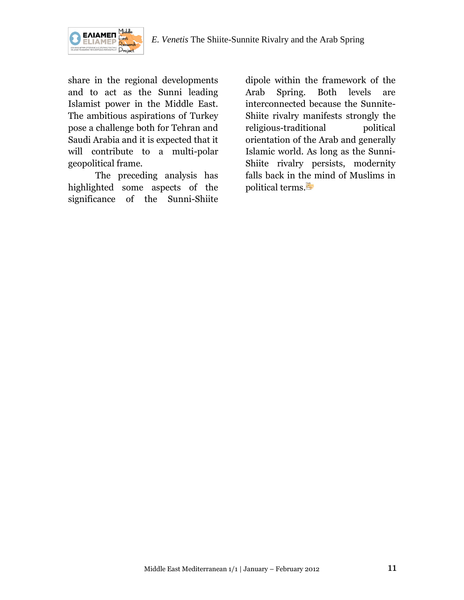

share in the regional developments and to act as the Sunni leading Islamist power in the Middle East. The ambitious aspirations of Turkey pose a challenge both for Tehran and Saudi Arabia and it is expected that it will contribute to a multi-polar geopolitical frame.

The preceding analysis has highlighted some aspects of the significance of the Sunni-Shiite

dipole within the framework of the Arab Spring. Both levels are interconnected because the Sunnite-Shiite rivalry manifests strongly the religious-traditional political orientation of the Arab and generally Islamic world. As long as the Sunni-Shiite rivalry persists, modernity falls back in the mind of Muslims in political terms.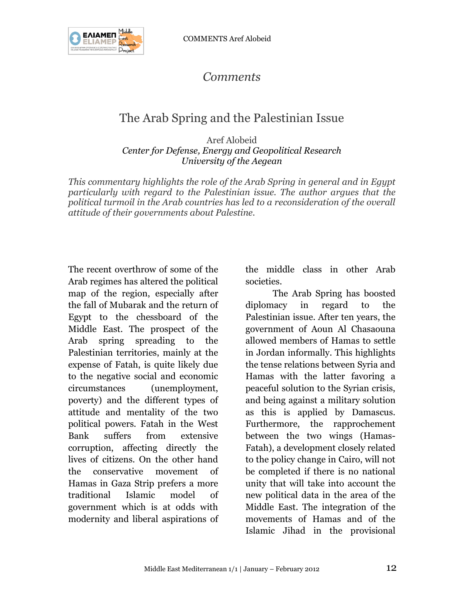

# *Comments*

# The Arab Spring and the Palestinian Issue

Aref Alobeid *Center for Defense, Energy and Geopolitical Research University of the Aegean*

*This commentary highlights the role of the Arab Spring in general and in Egypt particularly with regard to the Palestinian issue. The author argues that the political turmoil in the Arab countries has led to a reconsideration of the overall attitude of their governments about Palestine.*

The recent overthrow of some of the Arab regimes has altered the political map of the region, especially after the fall of Mubarak and the return of Egypt to the chessboard of the Middle East. The prospect of the Arab spring spreading to the Palestinian territories, mainly at the expense of Fatah, is quite likely due to the negative social and economic circumstances (unemployment, poverty) and the different types of attitude and mentality of the two political powers. Fatah in the West Bank suffers from extensive corruption, affecting directly the lives of citizens. On the other hand the conservative movement of Hamas in Gaza Strip prefers a more traditional Islamic model of government which is at odds with modernity and liberal aspirations of

the middle class in other Arab societies.

The Arab Spring has boosted diplomacy in regard to the Palestinian issue. After ten years, the government of Aoun Al Chasaouna allowed members of Hamas to settle in Jordan informally. This highlights the tense relations between Syria and Hamas with the latter favoring a peaceful solution to the Syrian crisis, and being against a military solution as this is applied by Damascus. Furthermore, the rapprochement between the two wings (Hamas-Fatah), a development closely related to the policy change in Cairo, will not be completed if there is no national unity that will take into account the new political data in the area of the Middle East. The integration of the movements of Hamas and of the Islamic Jihad in the provisional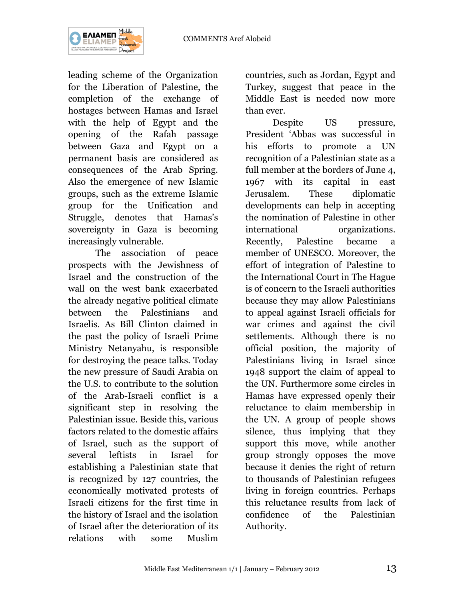

leading scheme of the Organization for the Liberation of Palestine, the completion of the exchange of hostages between Hamas and Israel with the help of Egypt and the opening of the Rafah passage between Gaza and Egypt on a permanent basis are considered as consequences of the Arab Spring. Also the emergence of new Islamic groups, such as the extreme Islamic group for the Unification and Struggle, denotes that Hamas's sovereignty in Gaza is becoming increasingly vulnerable.

The association of peace prospects with the Jewishness of Israel and the construction of the wall on the west bank exacerbated the already negative political climate between the Palestinians and Israelis. As Bill Clinton claimed in the past the policy of Israeli Prime Ministry Netanyahu, is responsible for destroying the peace talks. Today the new pressure of Saudi Arabia on the U.S. to contribute to the solution of the Arab-Israeli conflict is a significant step in resolving the Palestinian issue. Beside this, various factors related to the domestic affairs of Israel, such as the support of several leftists in Israel for establishing a Palestinian state that is recognized by 127 countries, the economically motivated protests of Israeli citizens for the first time in the history of Israel and the isolation of Israel after the deterioration of its relations with some Muslim

countries, such as Jordan, Egypt and Turkey, suggest that peace in the Middle East is needed now more than ever.

Despite US pressure, President "Abbas was successful in his efforts to promote a UN recognition of a Palestinian state as a full member at the borders of June 4, 1967 with its capital in east Jerusalem. These diplomatic developments can help in accepting the nomination of Palestine in other international organizations. Recently, Palestine became a member of UNESCO. Moreover, the effort of integration of Palestine to the International Court in The Hague is of concern to the Israeli authorities because they may allow Palestinians to appeal against Israeli officials for war crimes and against the civil settlements. Although there is no official position, the majority of Palestinians living in Israel since 1948 support the claim of appeal to the UN. Furthermore some circles in Hamas have expressed openly their reluctance to claim membership in the UN. A group of people shows silence, thus implying that they support this move, while another group strongly opposes the move because it denies the right of return to thousands of Palestinian refugees living in foreign countries. Perhaps this reluctance results from lack of confidence of the Palestinian Authority.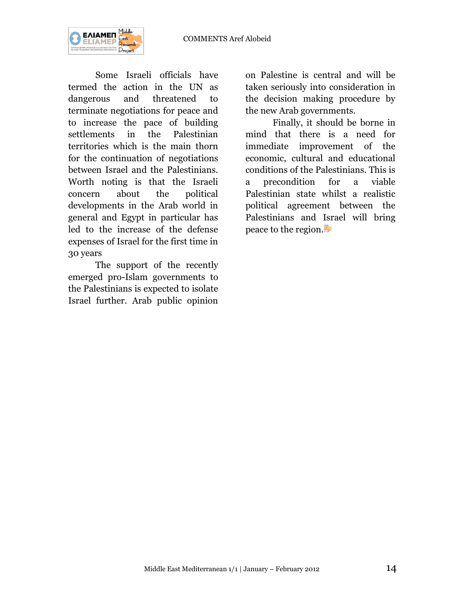

Some Israeli officials have termed the action in the UN as dangerous and threatened to terminate negotiations for peace and to increase the pace of building settlements in the Palestinian territories which is the main thorn for the continuation of negotiations between Israel and the Palestinians. Worth noting is that the Israeli concern about the political developments in the Arab world in general and Egypt in particular has led to the increase of the defense expenses of Israel for the first time in 30 years

The support of the recently emerged pro-Islam governments to the Palestinians is expected to isolate Israel further. Arab public opinion

on Palestine is central and will be taken seriously into consideration in the decision making procedure by the new Arab governments.

Finally, it should be borne in mind that there is a need for immediate improvement of the economic, cultural and educational conditions of the Palestinians. This is a precondition for a viable Palestinian state whilst a realistic political agreement between the Palestinians and Israel will bring peace to the region.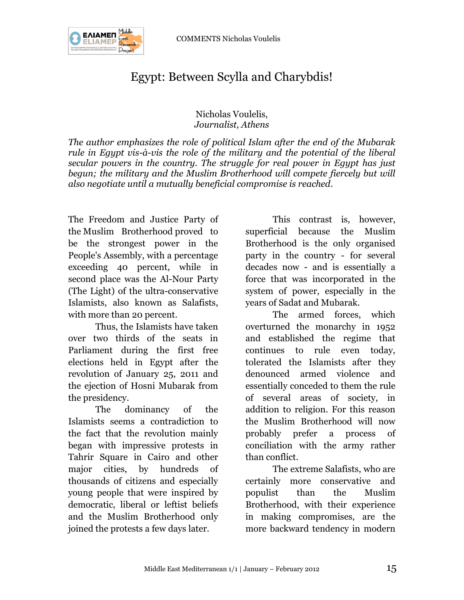COMMENTS Nicholas Voulelis



# Egypt: Between Scylla and Charybdis!

### Nicholas Voulelis, *Journalist, Athens*

*The author emphasizes the role of political Islam after the end of the Mubarak rule in Egypt vis-à-vis the role of the military and the potential of the liberal secular powers in the country. The struggle for real power in Egypt has just begun; the military and the Muslim Brotherhood will compete fiercely but will also negotiate until a mutually beneficial compromise is reached.*

The Freedom and Justice Party of the Muslim Brotherhood proved to be the strongest power in the People's Assembly, with a percentage exceeding 40 percent, while in second place was the Al-Nour Party (The Light) of the ultra-conservative Islamists, also known as Salafists, with more than 20 percent.

Thus, the Islamists have taken over two thirds of the seats in Parliament during the first free elections held in Egypt after the revolution of January 25, 2011 and the ejection of Hosni Mubarak from the presidency.

The dominancy of the Islamists seems a contradiction to the fact that the revolution mainly began with impressive protests in Tahrir Square in Cairo and other major cities, by hundreds of thousands of citizens and especially young people that were inspired by democratic, liberal or leftist beliefs and the Muslim Brotherhood only joined the protests a few days later.

This contrast is, however, superficial because the Muslim Brotherhood is the only organised party in the country - for several decades now - and is essentially a force that was incorporated in the system of power, especially in the years of Sadat and Mubarak.

The armed forces, which overturned the monarchy in 1952 and established the regime that continues to rule even today, tolerated the Islamists after they denounced armed violence and essentially conceded to them the rule of several areas of society, in addition to religion. For this reason the Muslim Brotherhood will now probably prefer a process of conciliation with the army rather than conflict.

The extreme Salafists, who are certainly more conservative and populist than the Muslim Brotherhood, with their experience in making compromises, are the more backward tendency in modern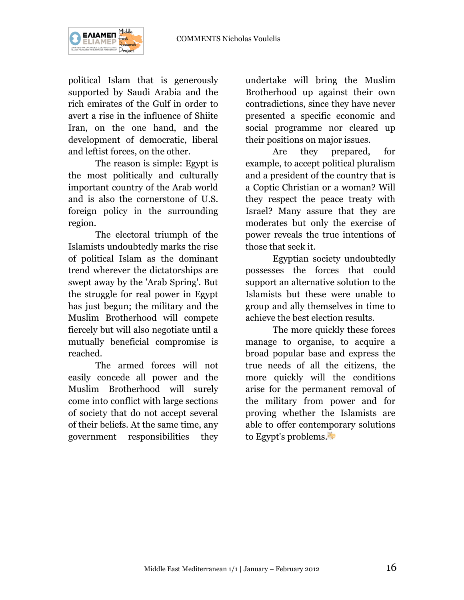

political Islam that is generously supported by Saudi Arabia and the rich emirates of the Gulf in order to avert a rise in the influence of Shiite Iran, on the one hand, and the development of democratic, liberal and leftist forces, on the other.

The reason is simple: Egypt is the most politically and culturally important country of the Arab world and is also the cornerstone of U.S. foreign policy in the surrounding region.

The electoral triumph of the Islamists undoubtedly marks the rise of political Islam as the dominant trend wherever the dictatorships are swept away by the 'Arab Spring'. But the struggle for real power in Egypt has just begun; the military and the Muslim Brotherhood will compete fiercely but will also negotiate until a mutually beneficial compromise is reached.

The armed forces will not easily concede all power and the Muslim Brotherhood will surely come into conflict with large sections of society that do not accept several of their beliefs. At the same time, any government responsibilities they

undertake will bring the Muslim Brotherhood up against their own contradictions, since they have never presented a specific economic and social programme nor cleared up their positions on major issues.

Are they prepared, for example, to accept political pluralism and a president of the country that is a Coptic Christian or a woman? Will they respect the peace treaty with Israel? Many assure that they are moderates but only the exercise of power reveals the true intentions of those that seek it.

Egyptian society undoubtedly possesses the forces that could support an alternative solution to the Islamists but these were unable to group and ally themselves in time to achieve the best election results.

The more quickly these forces manage to organise, to acquire a broad popular base and express the true needs of all the citizens, the more quickly will the conditions arise for the permanent removal of the military from power and for proving whether the Islamists are able to offer contemporary solutions to Egypt's problems.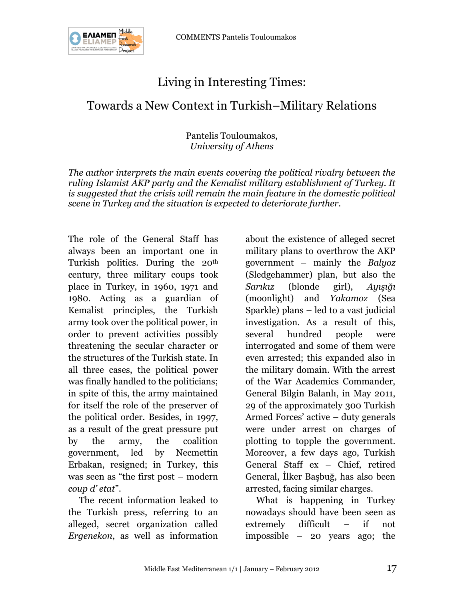

# Living in Interesting Times:

Towards a New Context in Turkish–Military Relations

Pantelis Touloumakos, *University of Athens*

*The author interprets the main events covering the political rivalry between the ruling Islamist AKP party and the Kemalist military establishment of Turkey. It is suggested that the crisis will remain the main feature in the domestic political scene in Turkey and the situation is expected to deteriorate further.*

The role of the General Staff has always been an important one in Turkish politics. During the 20th century, three military coups took place in Turkey, in 1960, 1971 and 1980. Acting as a guardian of Kemalist principles, the Turkish army took over the political power, in order to prevent activities possibly threatening the secular character or the structures of the Turkish state. In all three cases, the political power was finally handled to the politicians; in spite of this, the army maintained for itself the role of the preserver of the political order. Besides, in 1997, as a result of the great pressure put by the army, the coalition government, led by Necmettin Erbakan, resigned; in Turkey, this was seen as "the first post – modern *coup d' etat*".

The recent information leaked to the Turkish press, referring to an alleged, secret organization called *Ergenekon*, as well as information about the existence of alleged secret military plans to overthrow the AKP government – mainly the *Βalyoz* (Sledgehammer) plan, but also the *Sarıkız* (blonde girl), *Ayışığı* (moonlight) and *Yakamoz* (Sea Sparkle) plans – led to a vast judicial investigation. As a result of this, several hundred people were interrogated and some of them were even arrested; this expanded also in the military domain. With the arrest of the War Academics Commander, General Bilgin Balanlı, in May 2011, 29 of the approximately 300 Turkish Armed Forces' active – duty generals were under arrest on charges of plotting to topple the government. Moreover, a few days ago, Turkish General Staff ex – Chief, retired General, İlker Başbuğ, has also been arrested, facing similar charges.

What is happening in Turkey nowadays should have been seen as extremely difficult – if not impossible – 20 years ago; the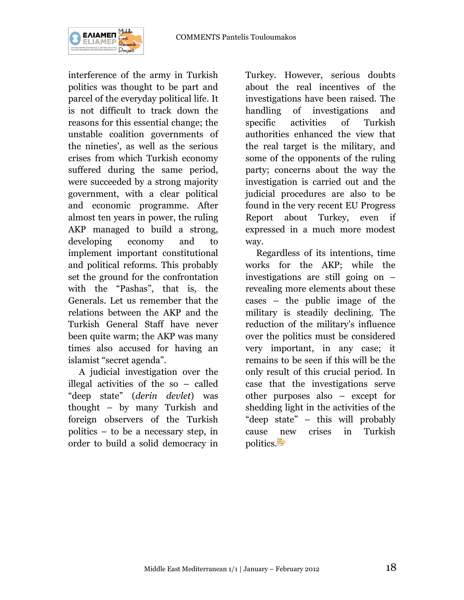

interference of the army in Turkish politics was thought to be part and parcel of the everyday political life. It is not difficult to track down the reasons for this essential change; the unstable coalition governments of the nineties', as well as the serious crises from which Turkish economy suffered during the same period, were succeeded by a strong majority government, with a clear political and economic programme. After almost ten years in power, the ruling AKP managed to build a strong, developing economy and to implement important constitutional and political reforms. This probably set the ground for the confrontation with the "Pashas", that is, the Generals. Let us remember that the relations between the AKP and the Turkish General Staff have never been quite warm; the AKP was many times also accused for having an islamist "secret agenda".

A judicial investigation over the illegal activities of the so – called "deep state" (*derin devlet*) was thought – by many Turkish and foreign observers of the Turkish politics – to be a necessary step, in order to build a solid democracy in

Turkey. However, serious doubts about the real incentives of the investigations have been raised. The handling of investigations and specific activities of Turkish authorities enhanced the view that the real target is the military, and some of the opponents of the ruling party; concerns about the way the investigation is carried out and the judicial procedures are also to be found in the very recent EU Progress Report about Turkey, even if expressed in a much more modest way.

Regardless of its intentions, time works for the AKP; while the investigations are still going on – revealing more elements about these cases – the public image of the military is steadily declining. The reduction of the military's influence over the politics must be considered very important, in any case; it remains to be seen if this will be the only result of this crucial period. In case that the investigations serve other purposes also – except for shedding light in the activities of the "deep state" – this will probably cause new crises in Turkish politics.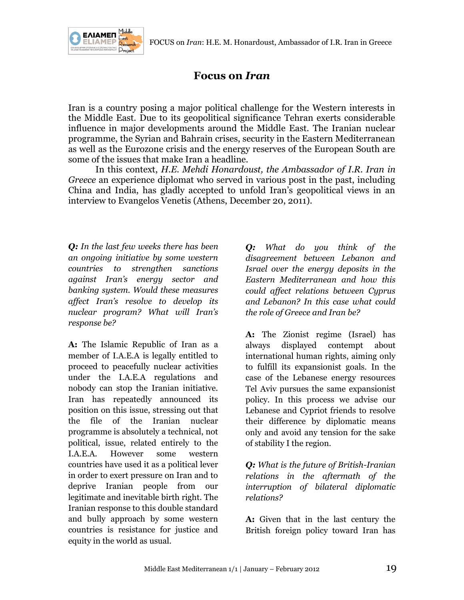

## **Focus on** *Iran*

Iran is a country posing a major political challenge for the Western interests in the Middle East. Due to its geopolitical significance Tehran exerts considerable influence in major developments around the Middle East. The Iranian nuclear programme, the Syrian and Bahrain crises, security in the Eastern Mediterranean as well as the Eurozone crisis and the energy reserves of the European South are some of the issues that make Iran a headline.

In this context, *H.E. Mehdi Honardoust, the Ambassador of I.R. Iran in Greece* an experience diplomat who served in various post in the past, including China and India, has gladly accepted to unfold Iran"s geopolitical views in an interview to Evangelos Venetis (Athens, December 20, 2011).

*Q: In the last few weeks there has been an ongoing initiative by some western countries to strengthen sanctions against Iran's energy sector and banking system. Would these measures affect Iran's resolve to develop its nuclear program? What will Iran's response be?*

**A:** The Islamic Republic of Iran as a member of I.A.E.A is legally entitled to proceed to peacefully nuclear activities under the I.A.E.A regulations and nobody can stop the Iranian initiative. Iran has repeatedly announced its position on this issue, stressing out that the file of the Iranian nuclear programme is absolutely a technical, not political, issue, related entirely to the I.A.E.A. However some western countries have used it as a political lever in order to exert pressure on Iran and to deprive Iranian people from our legitimate and inevitable birth right. The Iranian response to this double standard and bully approach by some western countries is resistance for justice and equity in the world as usual.

*Q: What do you think of the disagreement between Lebanon and Israel over the energy deposits in the Eastern Mediterranean and how this could affect relations between Cyprus and Lebanon? In this case what could the role of Greece and Iran be?*

**A:** The Zionist regime (Israel) has always displayed contempt about international human rights, aiming only to fulfill its expansionist goals. In the case of the Lebanese energy resources Tel Aviv pursues the same expansionist policy. In this process we advise our Lebanese and Cypriot friends to resolve their difference by diplomatic means only and avoid any tension for the sake of stability I the region.

*Q: What is the future of British-Iranian relations in the aftermath of the interruption of bilateral diplomatic relations?*

**A:** Given that in the last century the British foreign policy toward Iran has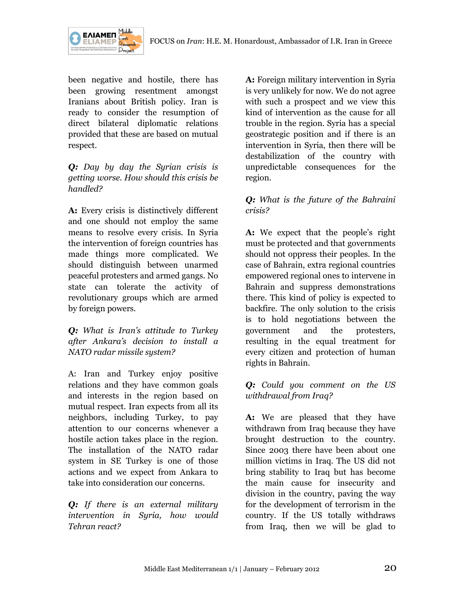



been negative and hostile, there has been growing resentment amongst Iranians about British policy. Iran is ready to consider the resumption of direct bilateral diplomatic relations provided that these are based on mutual respect.

*Q: Day by day the Syrian crisis is getting worse. How should this crisis be handled?*

**A:** Every crisis is distinctively different and one should not employ the same means to resolve every crisis. In Syria the intervention of foreign countries has made things more complicated. We should distinguish between unarmed peaceful protesters and armed gangs. No state can tolerate the activity of revolutionary groups which are armed by foreign powers.

*Q: What is Iran's attitude to Turkey after Ankara's decision to install a NATO radar missile system?*

A: Iran and Turkey enjoy positive relations and they have common goals and interests in the region based on mutual respect. Iran expects from all its neighbors, including Turkey, to pay attention to our concerns whenever a hostile action takes place in the region. The installation of the NATO radar system in SE Turkey is one of those actions and we expect from Ankara to take into consideration our concerns.

*Q: If there is an external military intervention in Syria, how would Tehran react?*

**A:** Foreign military intervention in Syria is very unlikely for now. We do not agree with such a prospect and we view this kind of intervention as the cause for all trouble in the region. Syria has a special geostrategic position and if there is an intervention in Syria, then there will be destabilization of the country with unpredictable consequences for the region.

### *Q: What is the future of the Bahraini crisis?*

A: We expect that the people's right must be protected and that governments should not oppress their peoples. In the case of Bahrain, extra regional countries empowered regional ones to intervene in Bahrain and suppress demonstrations there. This kind of policy is expected to backfire. The only solution to the crisis is to hold negotiations between the government and the protesters, resulting in the equal treatment for every citizen and protection of human rights in Bahrain.

### *Q: Could you comment on the US withdrawal from Iraq?*

**A:** We are pleased that they have withdrawn from Iraq because they have brought destruction to the country. Since 2003 there have been about one million victims in Iraq. The US did not bring stability to Iraq but has become the main cause for insecurity and division in the country, paving the way for the development of terrorism in the country. If the US totally withdraws from Iraq, then we will be glad to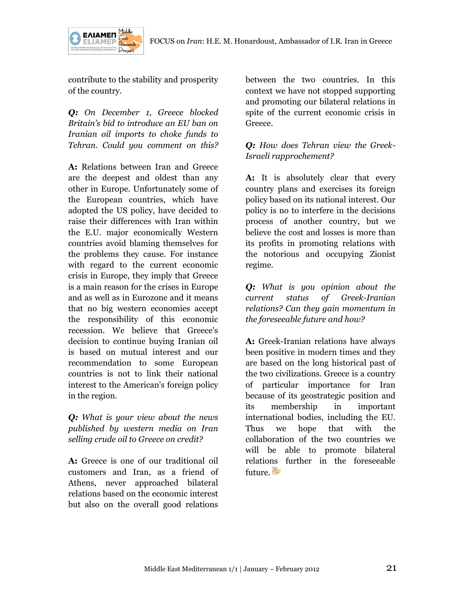

contribute to the stability and prosperity of the country.

*Q: On December 1, Greece blocked Britain's bid to introduce an EU ban on Iranian oil imports to choke funds to Tehran. Could you comment on this?*

**A:** Relations between Iran and Greece are the deepest and oldest than any other in Europe. Unfortunately some of the European countries, which have adopted the US policy, have decided to raise their differences with Iran within the E.U. major economically Western countries avoid blaming themselves for the problems they cause. For instance with regard to the current economic crisis in Europe, they imply that Greece is a main reason for the crises in Europe and as well as in Eurozone and it means that no big western economies accept the responsibility of this economic recession. We believe that Greece's decision to continue buying Iranian oil is based on mutual interest and our recommendation to some European countries is not to link their national interest to the American's foreign policy in the region.

*Q: What is your view about the news published by western media on Iran selling crude oil to Greece on credit?*

**A:** Greece is one of our traditional oil customers and Iran, as a friend of Athens, never approached bilateral relations based on the economic interest but also on the overall good relations

between the two countries. In this context we have not stopped supporting and promoting our bilateral relations in spite of the current economic crisis in Greece.

### *Q: How does Tehran view the Greek-Israeli rapprochement?*

**A:** It is absolutely clear that every country plans and exercises its foreign policy based on its national interest. Our policy is no to interfere in the decisions process of another country, but we believe the cost and losses is more than its profits in promoting relations with the notorious and occupying Zionist regime.

*Q: What is you opinion about the current status of Greek-Iranian relations? Can they gain momentum in the foreseeable future and how?*

**A:** Greek-Iranian relations have always been positive in modern times and they are based on the long historical past of the two civilizations. Greece is a country of particular importance for Iran because of its geostrategic position and its membership in important international bodies, including the EU. Thus we hope that with the collaboration of the two countries we will be able to promote bilateral relations further in the foreseeable future.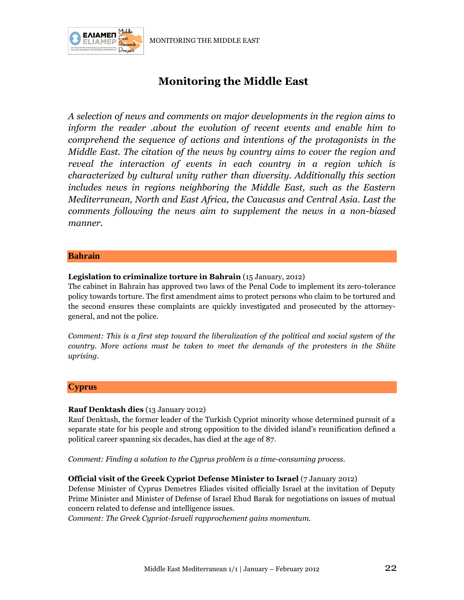MONITORING THE MIDDLE EAST



# **Monitoring the Middle East**

*A selection of news and comments on major developments in the region aims to inform the reader .about the evolution of recent events and enable him to comprehend the sequence of actions and intentions of the protagonists in the Middle East. The citation of the news by country aims to cover the region and reveal the interaction of events in each country in a region which is characterized by cultural unity rather than diversity. Additionally this section includes news in regions neighboring the Middle East, such as the Eastern Mediterranean, North and East Africa, the Caucasus and Central Asia. Last the comments following the news aim to supplement the news in a non-biased manner.*

#### **Bahrain**

#### **Legislation to criminalize torture in Bahrain** (15 January, 2012)

The cabinet in Bahrain has approved two laws of the Penal Code to implement its zero-tolerance policy towards torture. The first amendment aims to protect persons who claim to be tortured and the second ensures these complaints are quickly investigated and prosecuted by the attorneygeneral, and not the police.

*Comment: This is a first step toward the liberalization of the political and social system of the country. More actions must be taken to meet the demands of the protesters in the Shiite uprising.*

#### **Cyprus**

#### **Rauf Denktash dies** (13 January 2012)

Rauf Denktash, the former leader of the Turkish Cypriot minority whose determined pursuit of a separate state for his people and strong opposition to the divided island's reunification defined a political career spanning six decades, has died at the age of 87.

*Comment: Finding a solution to the Cyprus problem is a time-consuming process.*

#### **Official visit of the Greek Cypriot Defense Minister to Israel** (7 January 2012)

Defense Minister of Cyprus Demetres Eliades visited officially Israel at the invitation of Deputy Prime Minister and Minister of Defense of Israel Ehud Barak for negotiations on issues of mutual concern related to defense and intelligence issues.

*Comment: The Greek Cypriot-Israeli rapprochement gains momentum.*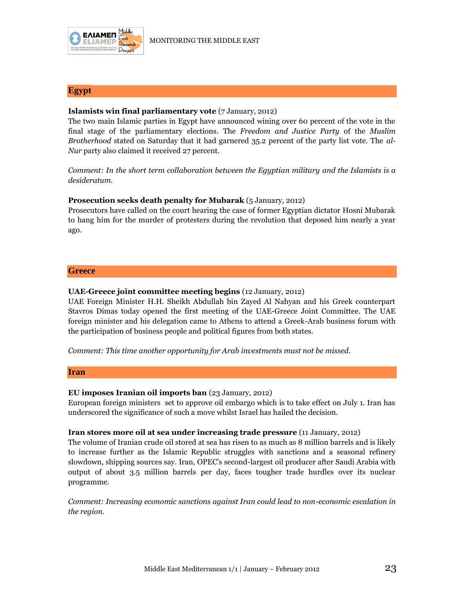

#### **Egypt**

#### **Islamists win final parliamentary vote** (7 January, 2012)

The two main Islamic parties in Egypt have announced wining over 60 percent of the vote in the final stage of the parliamentary elections. The *Freedom and Justice Party* of the *Muslim Brotherhood* stated on Saturday that it had garnered 35.2 percent of the party list vote. The *al-Nur* party also claimed it received 27 percent.

*Comment: In the short term collaboration between the Egyptian military and the Islamists is a desideratum.*

#### **Prosecution seeks death penalty for Mubarak** (5 January, 2012)

Prosecutors have called on the court hearing the case of former Egyptian dictator Hosni Mubarak to hang him for the murder of protesters during the revolution that deposed him nearly a year ago.

#### **Greece**

#### **UAE-Greece joint committee meeting begins** (12 January, 2012)

UAE Foreign Minister H.H. Sheikh Abdullah bin Zayed Al Nahyan and his Greek counterpart Stavros Dimas today opened the first meeting of the UAE-Greece Joint Committee. The UAE foreign minister and his delegation came to Athens to attend a Greek-Arab business forum with the participation of business people and political figures from both states.

*Comment: This time another opportunity for Arab investments must not be missed.*

#### **Iran**

#### **EU imposes Iranian oil imports ban** (23 January, 2012)

European foreign ministers set to approve oil embargo which is to take effect on July 1. Iran has underscored the significance of such a move whilst Israel has hailed the decision.

#### **Iran stores more oil at sea under increasing trade pressure** (11 January, 2012)

The volume of Iranian crude oil stored at sea has risen to as much as 8 million barrels and is likely to increase further as the Islamic Republic struggles with sanctions and a seasonal refinery slowdown, shipping sources say. Iran, OPEC's second-largest oil producer after Saudi Arabia with output of about 3.5 million barrels per day, faces tougher trade hurdles over its nuclear programme.

*Comment: Increasing economic sanctions against Iran could lead to non-economic escalation in the region.*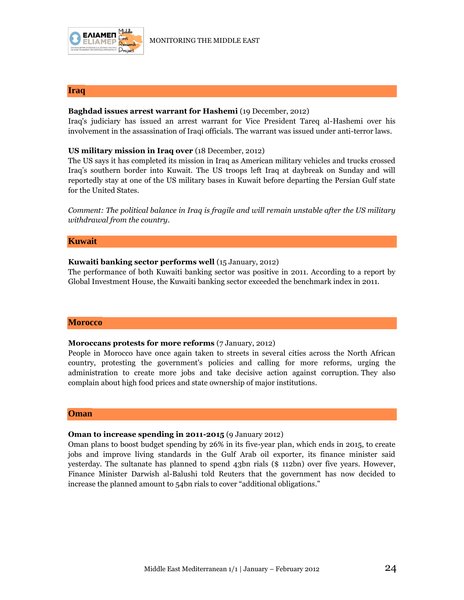

#### **Iraq**

#### **Baghdad issues arrest warrant for Hashemi** (19 December, 2012)

Ιraq's judiciary has issued an arrest warrant for Vice President Tareq al-Hashemi over his involvement in the assassination of Iraqi officials. The warrant was issued under anti-terror laws.

#### **US military mission in Iraq over** (18 December, 2012)

The US says it has completed its mission in Iraq as American military vehicles and trucks crossed Iraq"s southern border into Kuwait. The US troops left Iraq at daybreak on Sunday and will reportedly stay at one of the US military bases in Kuwait before departing the Persian Gulf state for the United States.

*Comment: The political balance in Iraq is fragile and will remain unstable after the US military withdrawal from the country*.

#### **Kuwait**

#### **Kuwaiti banking sector performs well** (15 January, 2012)

The performance of both Kuwaiti banking sector was positive in 2011. According to a report by Global Investment House, the Kuwaiti banking sector exceeded the benchmark index in 2011.

#### **Morocco**

#### **Moroccans protests for more reforms** (7 January, 2012)

People in Morocco have once again taken to streets in several cities across the North African country, protesting the government's policies and calling for more reforms, urging the administration to create more jobs and take decisive action against corruption. They also complain about high food prices and state ownership of major institutions.

#### **Oman**

#### **Oman to increase spending in 2011-2015** (9 January 2012)

Oman plans to boost budget spending by 26% in its five-year plan, which ends in 2015, to create jobs and improve living standards in the Gulf Arab oil exporter, its finance minister said yesterday. The sultanate has planned to spend 43bn rials (\$ 112bn) over five years. However, Finance Minister Darwish al-Balushi told Reuters that the government has now decided to increase the planned amount to 54bn rials to cover "additional obligations."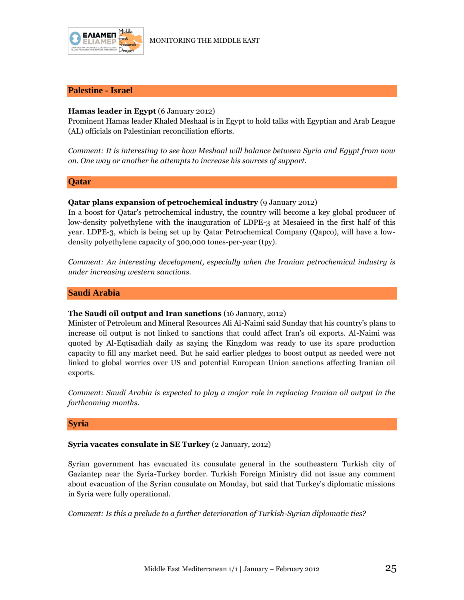

#### **Palestine - Israel**

#### **Hamas leader in Egypt** (6 January 2012)

Prominent Hamas leader Khaled Meshaal is in Egypt to hold talks with Egyptian and Arab League (AL) officials on Palestinian reconciliation efforts.

*Comment: It is interesting to see how Meshaal will balance between Syria and Egypt from now on. One way or another he attempts to increase his sources of support.*

#### **Qatar**

#### **Qatar plans expansion of petrochemical industry** (9 January 2012)

In a boost for Qatar's petrochemical industry, the country will become a key global producer of low-density polyethylene with the inauguration of LDPE-3 at Mesaieed in the first half of this year. LDPE-3, which is being set up by Qatar Petrochemical Company (Qapco), will have a lowdensity polyethylene capacity of 300,000 tones-per-year (tpy).

*Comment: An interesting development, especially when the Iranian petrochemical industry is under increasing western sanctions.*

#### **Saudi Arabia**

#### **The Saudi oil output and Iran sanctions** (16 January, 2012)

Minister of Petroleum and Mineral Resources Ali Al-Naimi said Sunday that his country"s plans to increase oil output is not linked to sanctions that could affect Iran's oil exports. Al-Naimi was quoted by Al-Eqtisadiah daily as saying the Kingdom was ready to use its spare production capacity to fill any market need. But he said earlier pledges to boost output as needed were not linked to global worries over US and potential European Union sanctions affecting Iranian oil exports.

*Comment: Saudi Arabia is expected to play a major role in replacing Iranian oil output in the forthcoming months.*

#### **Syria**

#### **Syria vacates consulate in SE Turkey** (2 January, 2012)

Syrian government has evacuated its consulate general in the southeastern Turkish city of Gaziantep near the Syria-Turkey border. Turkish Foreign Ministry did not issue any comment about evacuation of the Syrian consulate on Monday, but said that Turkey's diplomatic missions in Syria were fully operational.

*Comment: Is this a prelude to a further deterioration of Turkish-Syrian diplomatic ties?*